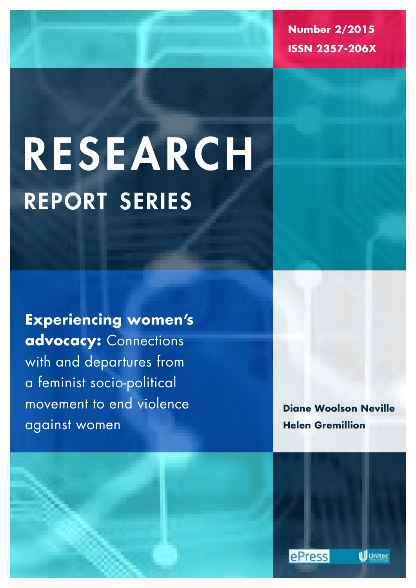**Number 2/2015 ISSN 2357-206X**

# report series research

**Experiencing women's advocacy:** Connections with and departures from a feminist socio-political movement to end violence against women

**Diane Woolson Neville Helen Gremillion**



**Ill** Unitec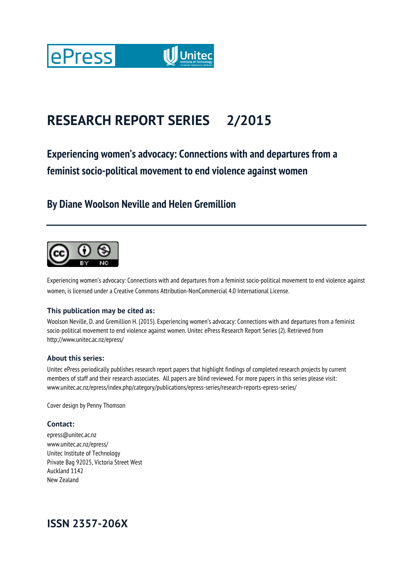

## **RESEARCH REPORT SERIES 2/2015**

## **Experiencing women's advocacy: Connections with and departures from a feminist socio-political movement to end violence against women**

## **By Diane Woolson Neville and Helen Gremillion**



Experiencing women's advocacy: Connections with and departures from a feminist socio-political movement to end violence against women, is licensed under a Creative Commons Attribution-NonCommercial 4.0 International License.

#### **This publication may be cited as:**

Woolson Neville, D. and Gremillion H. (2015). Experiencing women's advocacy: Connections with and departures from a feminist socio-political movement to end violence against women. Unitec ePress Research Report Series (2). Retrieved from http://www.unitec.ac.nz/epress/

#### **About this series:**

Unitec ePress periodically publishes research report papers that highlight findings of completed research projects by current members of staff and their research associates. All papers are blind reviewed. For more papers in this series please visit: www.unitec.ac.nz/epress/index.php/category/publications/epress-series/research-reports-epress-series/

Cover design by Penny Thomson

#### **Contact:**

epress@unitec.ac.nz www.unitec.ac.nz/epress/ Unitec Institute of Technology Private Bag 92025, Victoria Street West Auckland 1142 New Zealand

## **ISSN 2357-206X**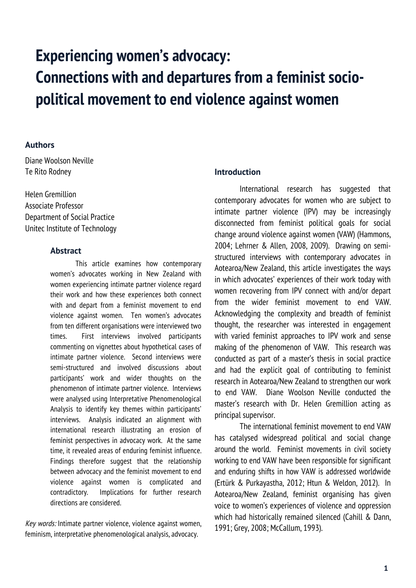# **Experiencing women's advocacy: Connections with and departures from a feminist sociopolitical movement to end violence against women**

#### **Authors**

Diane Woolson Neville Te Rito Rodney

Helen Gremillion Associate Professor Department of Social Practice Unitec Institute of Technology

#### **Abstract**

This article examines how contemporary women's advocates working in New Zealand with women experiencing intimate partner violence regard their work and how these experiences both connect with and depart from a feminist movement to end violence against women. Ten women's advocates from ten different organisations were interviewed two times. First interviews involved participants commenting on vignettes about hypothetical cases of intimate partner violence. Second interviews were semi-structured and involved discussions about participants' work and wider thoughts on the phenomenon of intimate partner violence. Interviews were analysed using Interpretative Phenomenological Analysis to identify key themes within participants' interviews. Analysis indicated an alignment with international research illustrating an erosion of feminist perspectives in advocacy work. At the same time, it revealed areas of enduring feminist influence. Findings therefore suggest that the relationship between advocacy and the feminist movement to end violence against women is complicated and contradictory. Implications for further research directions are considered.

Key words: Intimate partner violence, violence against women, feminism, interpretative phenomenological analysis, advocacy.

#### **Introduction**

International research has suggested that contemporary advocates for women who are subject to intimate partner violence (IPV) may be increasingly disconnected from feminist political goals for social change around violence against women (VAW) (Hammons, 2004; Lehrner & Allen, 2008, 2009). Drawing on semistructured interviews with contemporary advocates in Aotearoa/New Zealand, this article investigates the ways in which advocates' experiences of their work today with women recovering from IPV connect with and/or depart from the wider feminist movement to end VAW. Acknowledging the complexity and breadth of feminist thought, the researcher was interested in engagement with varied feminist approaches to IPV work and sense making of the phenomenon of VAW. This research was conducted as part of a master's thesis in social practice and had the explicit goal of contributing to feminist research in Aotearoa/New Zealand to strengthen our work to end VAW. Diane Woolson Neville conducted the master's research with Dr. Helen Gremillion acting as principal supervisor.

The international feminist movement to end VAW has catalysed widespread political and social change around the world. Feminist movements in civil society working to end VAW have been responsible for significant and enduring shifts in how VAW is addressed worldwide (Ertürk & Purkayastha, 2012; Htun & Weldon, 2012). In Aotearoa/New Zealand, feminist organising has given voice to women's experiences of violence and oppression which had historically remained silenced (Cahill & Dann, 1991; Grey, 2008; McCallum, 1993).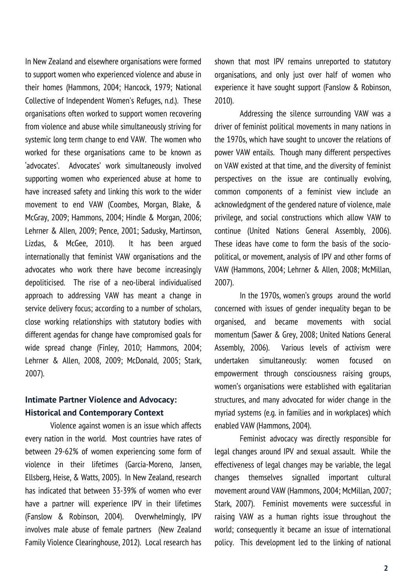In New Zealand and elsewhere organisations were formed to support women who experienced violence and abuse in their homes (Hammons, 2004; Hancock, 1979; National Collective of Independent Women's Refuges, n.d.). These organisations often worked to support women recovering from violence and abuse while simultaneously striving for systemic long term change to end VAW. The women who worked for these organisations came to be known as 'advocates'. Advocates' work simultaneously involved supporting women who experienced abuse at home to have increased safety and linking this work to the wider movement to end VAW (Coombes, Morgan, Blake, & McGray, 2009; Hammons, 2004; Hindle & Morgan, 2006; Lehrner & Allen, 2009; Pence, 2001; Sadusky, Martinson, Lizdas, & McGee, 2010). It has been argued internationally that feminist VAW organisations and the advocates who work there have become increasingly depoliticised. The rise of a neo-liberal individualised approach to addressing VAW has meant a change in service delivery focus; according to a number of scholars, close working relationships with statutory bodies with different agendas for change have compromised goals for wide spread change (Finley, 2010; Hammons, 2004; Lehrner & Allen, 2008, 2009; McDonald, 2005; Stark, 2007).

### **Intimate Partner Violence and Advocacy: Historical and Contemporary Context**

Violence against women is an issue which affects every nation in the world. Most countries have rates of between 29-62% of women experiencing some form of violence in their lifetimes (Garcia-Moreno, Jansen, Ellsberg, Heise, & Watts, 2005). In New Zealand, research has indicated that between 33-39% of women who ever have a partner will experience IPV in their lifetimes (Fanslow & Robinson, 2004). Overwhelmingly, IPV involves male abuse of female partners (New Zealand Family Violence Clearinghouse, 2012). Local research has shown that most IPV remains unreported to statutory organisations, and only just over half of women who experience it have sought support (Fanslow & Robinson, 2010).

Addressing the silence surrounding VAW was a driver of feminist political movements in many nations in the 1970s, which have sought to uncover the relations of power VAW entails. Though many different perspectives on VAW existed at that time, and the diversity of feminist perspectives on the issue are continually evolving, common components of a feminist view include an acknowledgment of the gendered nature of violence, male privilege, and social constructions which allow VAW to continue (United Nations General Assembly, 2006). These ideas have come to form the basis of the sociopolitical, or movement, analysis of IPV and other forms of VAW (Hammons, 2004; Lehrner & Allen, 2008; McMillan, 2007).

In the 1970s, women's groups around the world concerned with issues of gender inequality began to be organised, and became movements with social momentum (Sawer & Grey, 2008; United Nations General Assembly, 2006). Various levels of activism were undertaken simultaneously: women focused on empowerment through consciousness raising groups, women's organisations were established with egalitarian structures, and many advocated for wider change in the myriad systems (e.g. in families and in workplaces) which enabled VAW (Hammons, 2004).

Feminist advocacy was directly responsible for legal changes around IPV and sexual assault. While the effectiveness of legal changes may be variable, the legal changes themselves signalled important cultural movement around VAW (Hammons, 2004; McMillan, 2007; Stark, 2007). Feminist movements were successful in raising VAW as a human rights issue throughout the world; consequently it became an issue of international policy. This development led to the linking of national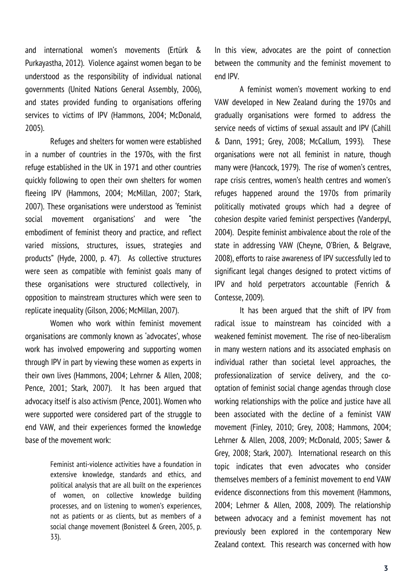and international women's movements (Ertürk & Purkayastha, 2012). Violence against women began to be understood as the responsibility of individual national governments (United Nations General Assembly, 2006), and states provided funding to organisations offering services to victims of IPV (Hammons, 2004; McDonald, 2005).

Refuges and shelters for women were established in a number of countries in the 1970s, with the first refuge established in the UK in 1971 and other countries quickly following to open their own shelters for women fleeing IPV (Hammons, 2004; McMillan, 2007; Stark, 2007). These organisations were understood as 'feminist social movement organisations' and were "the embodiment of feminist theory and practice, and reflect varied missions, structures, issues, strategies and products" (Hyde, 2000, p. 47). As collective structures were seen as compatible with feminist goals many of these organisations were structured collectively, in opposition to mainstream structures which were seen to replicate inequality (Gilson, 2006; McMillan, 2007).

Women who work within feminist movement organisations are commonly known as 'advocates', whose work has involved empowering and supporting women through IPV in part by viewing these women as experts in their own lives (Hammons, 2004; Lehrner & Allen, 2008; Pence, 2001; Stark, 2007). It has been argued that advocacy itself is also activism (Pence, 2001). Women who were supported were considered part of the struggle to end VAW, and their experiences formed the knowledge base of the movement work:

> Feminist anti-violence activities have a foundation in extensive knowledge, standards and ethics, and political analysis that are all built on the experiences of women, on collective knowledge building processes, and on listening to women's experiences, not as patients or as clients, but as members of a social change movement (Bonisteel & Green, 2005, p. 33).

In this view, advocates are the point of connection between the community and the feminist movement to end IPV.

A feminist women's movement working to end VAW developed in New Zealand during the 1970s and gradually organisations were formed to address the service needs of victims of sexual assault and IPV (Cahill & Dann, 1991; Grey, 2008; McCallum, 1993). These organisations were not all feminist in nature, though many were (Hancock, 1979). The rise of women's centres, rape crisis centres, women's health centres and women's refuges happened around the 1970s from primarily politically motivated groups which had a degree of cohesion despite varied feminist perspectives (Vanderpyl, 2004). Despite feminist ambivalence about the role of the state in addressing VAW (Cheyne, O'Brien, & Belgrave, 2008), efforts to raise awareness of IPV successfully led to significant legal changes designed to protect victims of IPV and hold perpetrators accountable (Fenrich & Contesse, 2009).

It has been argued that the shift of IPV from radical issue to mainstream has coincided with a weakened feminist movement. The rise of neo-liberalism in many western nations and its associated emphasis on individual rather than societal level approaches, the professionalization of service delivery, and the cooptation of feminist social change agendas through close working relationships with the police and justice have all been associated with the decline of a feminist VAW movement (Finley, 2010; Grey, 2008; Hammons, 2004; Lehrner & Allen, 2008, 2009; McDonald, 2005; Sawer & Grey, 2008; Stark, 2007). International research on this topic indicates that even advocates who consider themselves members of a feminist movement to end VAW evidence disconnections from this movement (Hammons, 2004; Lehrner & Allen, 2008, 2009). The relationship between advocacy and a feminist movement has not previously been explored in the contemporary New Zealand context. This research was concerned with how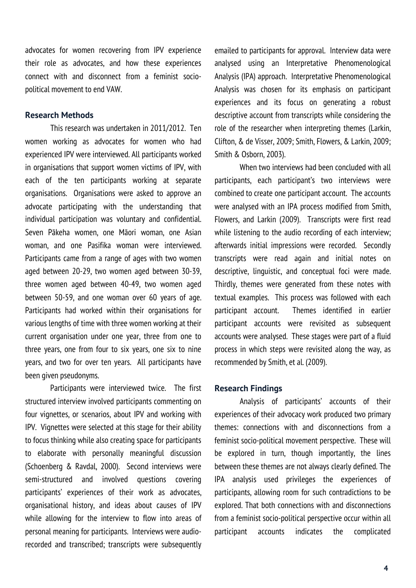advocates for women recovering from IPV experience their role as advocates, and how these experiences connect with and disconnect from a feminist sociopolitical movement to end VAW.

#### **Research Methods**

This research was undertaken in 2011/2012. Ten women working as advocates for women who had experienced IPV were interviewed. All participants worked in organisations that support women victims of IPV, with each of the ten participants working at separate organisations. Organisations were asked to approve an advocate participating with the understanding that individual participation was voluntary and confidential. Seven Pākeha women, one Māori woman, one Asian woman, and one Pasifika woman were interviewed. Participants came from a range of ages with two women aged between 20-29, two women aged between 30-39, three women aged between 40-49, two women aged between 50-59, and one woman over 60 years of age. Participants had worked within their organisations for various lengths of time with three women working at their current organisation under one year, three from one to three years, one from four to six years, one six to nine years, and two for over ten years. All participants have been given pseudonyms.

Participants were interviewed twice. The first structured interview involved participants commenting on four vignettes, or scenarios, about IPV and working with IPV. Vignettes were selected at this stage for their ability to focus thinking while also creating space for participants to elaborate with personally meaningful discussion (Schoenberg & Ravdal, 2000). Second interviews were semi-structured and involved questions covering participants' experiences of their work as advocates, organisational history, and ideas about causes of IPV while allowing for the interview to flow into areas of personal meaning for participants. Interviews were audiorecorded and transcribed; transcripts were subsequently

emailed to participants for approval. Interview data were analysed using an Interpretative Phenomenological Analysis (IPA) approach. Interpretative Phenomenological Analysis was chosen for its emphasis on participant experiences and its focus on generating a robust descriptive account from transcripts while considering the role of the researcher when interpreting themes (Larkin, Clifton, & de Visser, 2009; Smith, Flowers, & Larkin, 2009; Smith & Osborn, 2003).

When two interviews had been concluded with all participants, each participant's two interviews were combined to create one participant account. The accounts were analysed with an IPA process modified from Smith, Flowers, and Larkin (2009). Transcripts were first read while listening to the audio recording of each interview; afterwards initial impressions were recorded. Secondly transcripts were read again and initial notes on descriptive, linguistic, and conceptual foci were made. Thirdly, themes were generated from these notes with textual examples. This process was followed with each participant account. Themes identified in earlier participant accounts were revisited as subsequent accounts were analysed. These stages were part of a fluid process in which steps were revisited along the way, as recommended by Smith, et al. (2009).

#### **Research Findings**

Analysis of participants' accounts of their experiences of their advocacy work produced two primary themes: connections with and disconnections from a feminist socio-political movement perspective. These will be explored in turn, though importantly, the lines between these themes are not always clearly defined. The IPA analysis used privileges the experiences of participants, allowing room for such contradictions to be explored. That both connections with and disconnections from a feminist socio-political perspective occur within all participant accounts indicates the complicated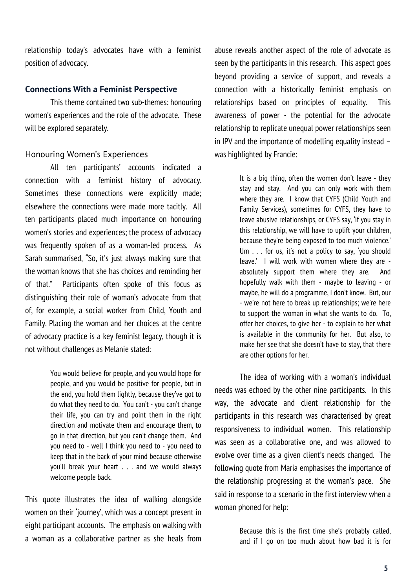relationship today's advocates have with a feminist position of advocacy.

#### **Connections With a Feminist Perspective**

This theme contained two sub-themes: honouring women's experiences and the role of the advocate. These will be explored separately.

#### Honouring Women's Experiences

All ten participants' accounts indicated a connection with a feminist history of advocacy. Sometimes these connections were explicitly made; elsewhere the connections were made more tacitly. All ten participants placed much importance on honouring women's stories and experiences; the process of advocacy was frequently spoken of as a woman-led process. As Sarah summarised, "So, it's just always making sure that the woman knows that she has choices and reminding her of that." Participants often spoke of this focus as distinguishing their role of woman's advocate from that of, for example, a social worker from Child, Youth and Family. Placing the woman and her choices at the centre of advocacy practice is a key feminist legacy, though it is not without challenges as Melanie stated:

> You would believe for people, and you would hope for people, and you would be positive for people, but in the end, you hold them lightly, because they've got to do what they need to do. You can't - you can't change their life, you can try and point them in the right direction and motivate them and encourage them, to go in that direction, but you can't change them. And you need to - well I think you need to - you need to keep that in the back of your mind because otherwise you'll break your heart . . . and we would always welcome people back.

This quote illustrates the idea of walking alongside women on their 'journey', which was a concept present in eight participant accounts. The emphasis on walking with a woman as a collaborative partner as she heals from

abuse reveals another aspect of the role of advocate as seen by the participants in this research. This aspect goes beyond providing a service of support, and reveals a connection with a historically feminist emphasis on relationships based on principles of equality. This awareness of power - the potential for the advocate relationship to replicate unequal power relationships seen in IPV and the importance of modelling equality instead – was highlighted by Francie:

> It is a big thing, often the women don't leave - they stay and stay. And you can only work with them where they are. I know that CYFS (Child Youth and Family Services), sometimes for CYFS, they have to leave abusive relationships, or CYFS say, 'if you stay in this relationship, we will have to uplift your children, because they're being exposed to too much violence.' Um . . . for us, it's not a policy to say, 'you should leave.' I will work with women where they are absolutely support them where they are. And hopefully walk with them - maybe to leaving - or maybe, he will do a programme, I don't know. But, our - we're not here to break up relationships; we're here to support the woman in what she wants to do. To, offer her choices, to give her - to explain to her what is available in the community for her. But also, to make her see that she doesn't have to stay, that there are other options for her.

The idea of working with a woman's individual needs was echoed by the other nine participants. In this way, the advocate and client relationship for the participants in this research was characterised by great responsiveness to individual women. This relationship was seen as a collaborative one, and was allowed to evolve over time as a given client's needs changed. The following quote from Maria emphasises the importance of the relationship progressing at the woman's pace. She said in response to a scenario in the first interview when a woman phoned for help:

> Because this is the first time she's probably called, and if I go on too much about how bad it is for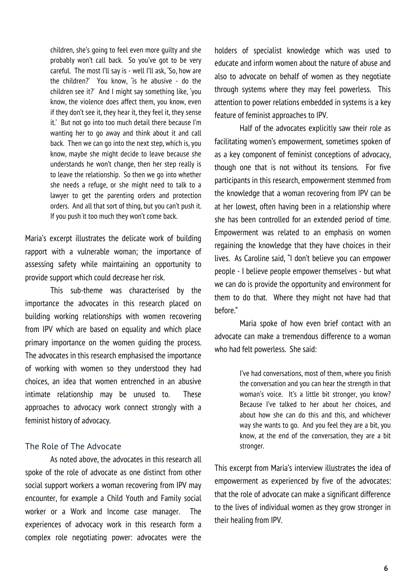children, she's going to feel even more guilty and she probably won't call back. So you've got to be very careful. The most I'll say is - well I'll ask, 'So, how are the children?' You know, 'is he abusive - do the children see it?' And I might say something like, 'you know, the violence does affect them, you know, even if they don't see it, they hear it, they feel it, they sense it.' But not go into too much detail there because I'm wanting her to go away and think about it and call back. Then we can go into the next step, which is, you know, maybe she might decide to leave because she understands he won't change, then her step really is to leave the relationship. So then we go into whether she needs a refuge, or she might need to talk to a lawyer to get the parenting orders and protection orders. And all that sort of thing, but you can't push it. If you push it too much they won't come back.

Maria's excerpt illustrates the delicate work of building rapport with a vulnerable woman; the importance of assessing safety while maintaining an opportunity to provide support which could decrease her risk.

This sub-theme was characterised by the importance the advocates in this research placed on building working relationships with women recovering from IPV which are based on equality and which place primary importance on the women guiding the process. The advocates in this research emphasised the importance of working with women so they understood they had choices, an idea that women entrenched in an abusive intimate relationship may be unused to. These approaches to advocacy work connect strongly with a feminist history of advocacy.

#### The Role of The Advocate

As noted above, the advocates in this research all spoke of the role of advocate as one distinct from other social support workers a woman recovering from IPV may encounter, for example a Child Youth and Family social worker or a Work and Income case manager. The experiences of advocacy work in this research form a complex role negotiating power: advocates were the

holders of specialist knowledge which was used to educate and inform women about the nature of abuse and also to advocate on behalf of women as they negotiate through systems where they may feel powerless. This attention to power relations embedded in systems is a key feature of feminist approaches to IPV.

Half of the advocates explicitly saw their role as facilitating women's empowerment, sometimes spoken of as a key component of feminist conceptions of advocacy, though one that is not without its tensions. For five participants in this research, empowerment stemmed from the knowledge that a woman recovering from IPV can be at her lowest, often having been in a relationship where she has been controlled for an extended period of time. Empowerment was related to an emphasis on women regaining the knowledge that they have choices in their lives. As Caroline said, "I don't believe you can empower people - I believe people empower themselves - but what we can do is provide the opportunity and environment for them to do that. Where they might not have had that before."

Maria spoke of how even brief contact with an advocate can make a tremendous difference to a woman who had felt powerless. She said:

> I've had conversations, most of them, where you finish the conversation and you can hear the strength in that woman's voice. It's a little bit stronger, you know? Because I've talked to her about her choices, and about how she can do this and this, and whichever way she wants to go. And you feel they are a bit, you know, at the end of the conversation, they are a bit stronger.

This excerpt from Maria's interview illustrates the idea of empowerment as experienced by five of the advocates: that the role of advocate can make a significant difference to the lives of individual women as they grow stronger in their healing from IPV.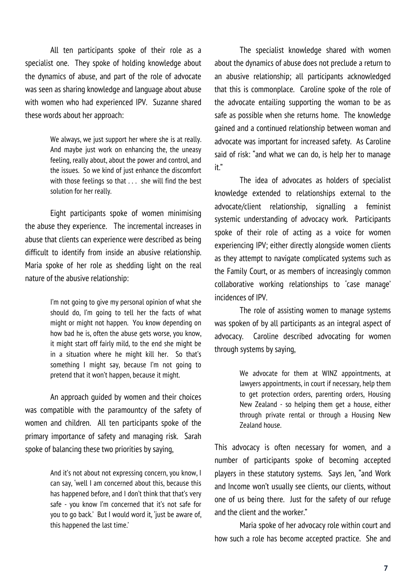All ten participants spoke of their role as a specialist one. They spoke of holding knowledge about the dynamics of abuse, and part of the role of advocate was seen as sharing knowledge and language about abuse with women who had experienced IPV. Suzanne shared these words about her approach:

> We always, we just support her where she is at really. And maybe just work on enhancing the, the uneasy feeling, really about, about the power and control, and the issues. So we kind of just enhance the discomfort with those feelings so that . . . she will find the best solution for her really.

Eight participants spoke of women minimising the abuse they experience. The incremental increases in abuse that clients can experience were described as being difficult to identify from inside an abusive relationship. Maria spoke of her role as shedding light on the real nature of the abusive relationship:

> I'm not going to give my personal opinion of what she should do, I'm going to tell her the facts of what might or might not happen. You know depending on how bad he is, often the abuse gets worse, you know, it might start off fairly mild, to the end she might be in a situation where he might kill her. So that's something I might say, because I'm not going to pretend that it won't happen, because it might.

An approach guided by women and their choices was compatible with the paramountcy of the safety of women and children. All ten participants spoke of the primary importance of safety and managing risk. Sarah spoke of balancing these two priorities by saying,

> And it's not about not expressing concern, you know, I can say, 'well I am concerned about this, because this has happened before, and I don't think that that's very safe - you know I'm concerned that it's not safe for you to go back.' But I would word it, 'just be aware of, this happened the last time.'

The specialist knowledge shared with women about the dynamics of abuse does not preclude a return to an abusive relationship; all participants acknowledged that this is commonplace. Caroline spoke of the role of the advocate entailing supporting the woman to be as safe as possible when she returns home. The knowledge gained and a continued relationship between woman and advocate was important for increased safety. As Caroline said of risk: "and what we can do, is help her to manage it."

The idea of advocates as holders of specialist knowledge extended to relationships external to the advocate/client relationship, signalling a feminist systemic understanding of advocacy work. Participants spoke of their role of acting as a voice for women experiencing IPV; either directly alongside women clients as they attempt to navigate complicated systems such as the Family Court, or as members of increasingly common collaborative working relationships to 'case manage' incidences of IPV.

The role of assisting women to manage systems was spoken of by all participants as an integral aspect of advocacy. Caroline described advocating for women through systems by saying,

> We advocate for them at WINZ appointments, at lawyers appointments, in court if necessary, help them to get protection orders, parenting orders, Housing New Zealand - so helping them get a house, either through private rental or through a Housing New Zealand house.

This advocacy is often necessary for women, and a number of participants spoke of becoming accepted players in these statutory systems. Says Jen, "and Work and Income won't usually see clients, our clients, without one of us being there. Just for the safety of our refuge and the client and the worker."

Maria spoke of her advocacy role within court and how such a role has become accepted practice. She and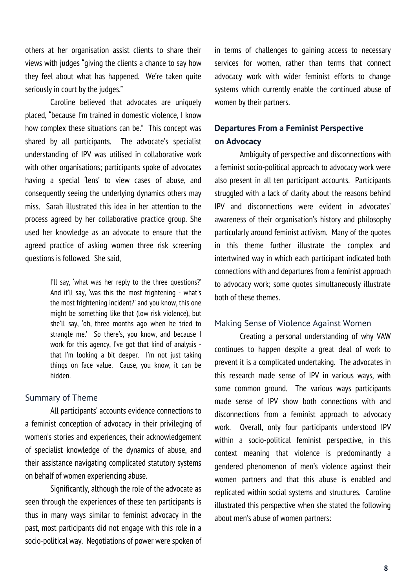others at her organisation assist clients to share their views with judges "giving the clients a chance to say how they feel about what has happened. We're taken quite seriously in court by the judges."

Caroline believed that advocates are uniquely placed, "because I'm trained in domestic violence, I know how complex these situations can be." This concept was shared by all participants. The advocate's specialist understanding of IPV was utilised in collaborative work with other organisations; participants spoke of advocates having a special 'lens' to view cases of abuse, and consequently seeing the underlying dynamics others may miss. Sarah illustrated this idea in her attention to the process agreed by her collaborative practice group. She used her knowledge as an advocate to ensure that the agreed practice of asking women three risk screening questions is followed. She said,

> I'll say, 'what was her reply to the three questions?' And it'll say, 'was this the most frightening - what's the most frightening incident?' and you know, this one might be something like that (low risk violence), but she'll say, 'oh, three months ago when he tried to strangle me.' So there's, you know, and because I work for this agency, I've got that kind of analysis that I'm looking a bit deeper. I'm not just taking things on face value. Cause, you know, it can be hidden.

#### Summary of Theme

All participants' accounts evidence connections to a feminist conception of advocacy in their privileging of women's stories and experiences, their acknowledgement of specialist knowledge of the dynamics of abuse, and their assistance navigating complicated statutory systems on behalf of women experiencing abuse.

Significantly, although the role of the advocate as seen through the experiences of these ten participants is thus in many ways similar to feminist advocacy in the past, most participants did not engage with this role in a socio-political way. Negotiations of power were spoken of

in terms of challenges to gaining access to necessary services for women, rather than terms that connect advocacy work with wider feminist efforts to change systems which currently enable the continued abuse of women by their partners.

## **Departures From a Feminist Perspective on Advocacy**

Ambiguity of perspective and disconnections with a feminist socio-political approach to advocacy work were also present in all ten participant accounts. Participants struggled with a lack of clarity about the reasons behind IPV and disconnections were evident in advocates' awareness of their organisation's history and philosophy particularly around feminist activism. Many of the quotes in this theme further illustrate the complex and intertwined way in which each participant indicated both connections with and departures from a feminist approach to advocacy work; some quotes simultaneously illustrate both of these themes.

#### Making Sense of Violence Against Women

Creating a personal understanding of why VAW continues to happen despite a great deal of work to prevent it is a complicated undertaking. The advocates in this research made sense of IPV in various ways, with some common ground. The various ways participants made sense of IPV show both connections with and disconnections from a feminist approach to advocacy work. Overall, only four participants understood IPV within a socio-political feminist perspective, in this context meaning that violence is predominantly a gendered phenomenon of men's violence against their women partners and that this abuse is enabled and replicated within social systems and structures. Caroline illustrated this perspective when she stated the following about men's abuse of women partners: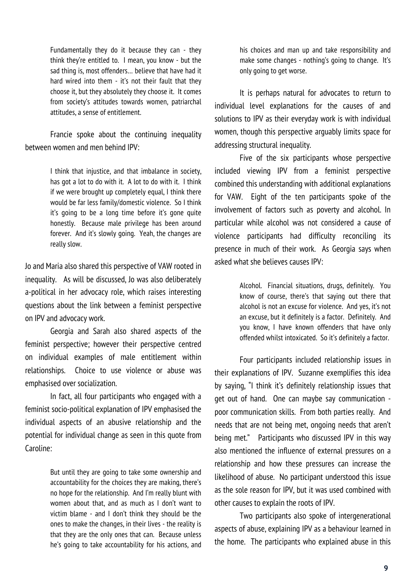Fundamentally they do it because they can - they think they're entitled to. I mean, you know - but the sad thing is, most offenders… believe that have had it hard wired into them - it's not their fault that they choose it, but they absolutely they choose it. It comes from society's attitudes towards women, patriarchal attitudes, a sense of entitlement.

Francie spoke about the continuing inequality between women and men behind IPV:

> I think that injustice, and that imbalance in society, has got a lot to do with it. A lot to do with it. I think if we were brought up completely equal, I think there would be far less family/domestic violence. So I think it's going to be a long time before it's gone quite honestly. Because male privilege has been around forever. And it's slowly going. Yeah, the changes are really slow.

Jo and Maria also shared this perspective of VAW rooted in inequality. As will be discussed, Jo was also deliberately a-political in her advocacy role, which raises interesting questions about the link between a feminist perspective on IPV and advocacy work.

Georgia and Sarah also shared aspects of the feminist perspective; however their perspective centred on individual examples of male entitlement within relationships. Choice to use violence or abuse was emphasised over socialization.

In fact, all four participants who engaged with a feminist socio-political explanation of IPV emphasised the individual aspects of an abusive relationship and the potential for individual change as seen in this quote from Caroline:

> But until they are going to take some ownership and accountability for the choices they are making, there's no hope for the relationship. And I'm really blunt with women about that, and as much as I don't want to victim blame - and I don't think they should be the ones to make the changes, in their lives - the reality is that they are the only ones that can. Because unless he's going to take accountability for his actions, and

his choices and man up and take responsibility and make some changes - nothing's going to change. It's only going to get worse.

It is perhaps natural for advocates to return to individual level explanations for the causes of and solutions to IPV as their everyday work is with individual women, though this perspective arguably limits space for addressing structural inequality.

Five of the six participants whose perspective included viewing IPV from a feminist perspective combined this understanding with additional explanations for VAW. Eight of the ten participants spoke of the involvement of factors such as poverty and alcohol. In particular while alcohol was not considered a cause of violence participants had difficulty reconciling its presence in much of their work. As Georgia says when asked what she believes causes IPV:

> Alcohol. Financial situations, drugs, definitely. You know of course, there's that saying out there that alcohol is not an excuse for violence. And yes, it's not an excuse, but it definitely is a factor. Definitely. And you know, I have known offenders that have only offended whilst intoxicated. So it's definitely a factor.

Four participants included relationship issues in their explanations of IPV. Suzanne exemplifies this idea by saying, "I think it's definitely relationship issues that get out of hand. One can maybe say communication poor communication skills. From both parties really. And needs that are not being met, ongoing needs that aren't being met." Participants who discussed IPV in this way also mentioned the influence of external pressures on a relationship and how these pressures can increase the likelihood of abuse. No participant understood this issue as the sole reason for IPV, but it was used combined with other causes to explain the roots of IPV.

Two participants also spoke of intergenerational aspects of abuse, explaining IPV as a behaviour learned in the home. The participants who explained abuse in this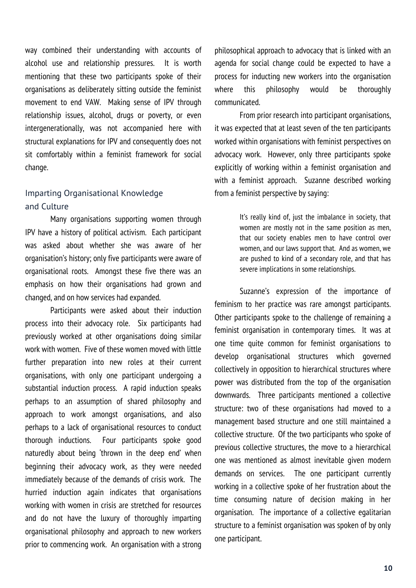way combined their understanding with accounts of alcohol use and relationship pressures. It is worth mentioning that these two participants spoke of their organisations as deliberately sitting outside the feminist movement to end VAW. Making sense of IPV through relationship issues, alcohol, drugs or poverty, or even intergenerationally, was not accompanied here with structural explanations for IPV and consequently does not sit comfortably within a feminist framework for social change.

## Imparting Organisational Knowledge and Culture

Many organisations supporting women through IPV have a history of political activism. Each participant was asked about whether she was aware of her organisation's history; only five participants were aware of organisational roots. Amongst these five there was an emphasis on how their organisations had grown and changed, and on how services had expanded.

Participants were asked about their induction process into their advocacy role. Six participants had previously worked at other organisations doing similar work with women. Five of these women moved with little further preparation into new roles at their current organisations, with only one participant undergoing a substantial induction process. A rapid induction speaks perhaps to an assumption of shared philosophy and approach to work amongst organisations, and also perhaps to a lack of organisational resources to conduct thorough inductions. Four participants spoke good naturedly about being 'thrown in the deep end' when beginning their advocacy work, as they were needed immediately because of the demands of crisis work. The hurried induction again indicates that organisations working with women in crisis are stretched for resources and do not have the luxury of thoroughly imparting organisational philosophy and approach to new workers prior to commencing work. An organisation with a strong

philosophical approach to advocacy that is linked with an agenda for social change could be expected to have a process for inducting new workers into the organisation where this philosophy would be thoroughly communicated.

From prior research into participant organisations, it was expected that at least seven of the ten participants worked within organisations with feminist perspectives on advocacy work. However, only three participants spoke explicitly of working within a feminist organisation and with a feminist approach. Suzanne described working from a feminist perspective by saying:

> It's really kind of, just the imbalance in society, that women are mostly not in the same position as men, that our society enables men to have control over women, and our laws support that. And as women, we are pushed to kind of a secondary role, and that has severe implications in some relationships.

Suzanne's expression of the importance of feminism to her practice was rare amongst participants. Other participants spoke to the challenge of remaining a feminist organisation in contemporary times. It was at one time quite common for feminist organisations to develop organisational structures which governed collectively in opposition to hierarchical structures where power was distributed from the top of the organisation downwards. Three participants mentioned a collective structure: two of these organisations had moved to a management based structure and one still maintained a collective structure. Of the two participants who spoke of previous collective structures, the move to a hierarchical one was mentioned as almost inevitable given modern demands on services. The one participant currently working in a collective spoke of her frustration about the time consuming nature of decision making in her organisation. The importance of a collective egalitarian structure to a feminist organisation was spoken of by only one participant.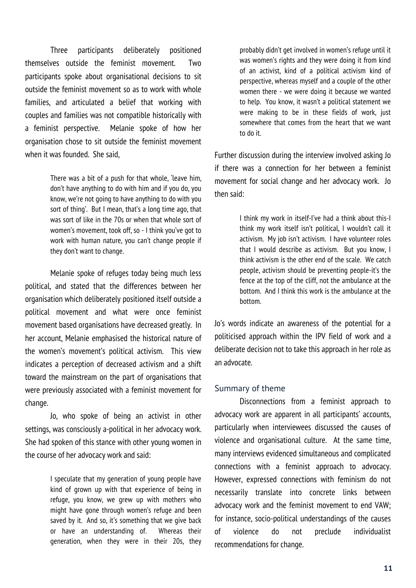Three participants deliberately positioned themselves outside the feminist movement. Two participants spoke about organisational decisions to sit outside the feminist movement so as to work with whole families, and articulated a belief that working with couples and families was not compatible historically with a feminist perspective. Melanie spoke of how her organisation chose to sit outside the feminist movement when it was founded. She said,

> There was a bit of a push for that whole, 'leave him, don't have anything to do with him and if you do, you know, we're not going to have anything to do with you sort of thing'. But I mean, that's a long time ago, that was sort of like in the 70s or when that whole sort of women's movement, took off, so - I think you've got to work with human nature, you can't change people if they don't want to change.

Melanie spoke of refuges today being much less political, and stated that the differences between her organisation which deliberately positioned itself outside a political movement and what were once feminist movement based organisations have decreased greatly. In her account, Melanie emphasised the historical nature of the women's movement's political activism. This view indicates a perception of decreased activism and a shift toward the mainstream on the part of organisations that were previously associated with a feminist movement for change.

Jo, who spoke of being an activist in other settings, was consciously a-political in her advocacy work. She had spoken of this stance with other young women in the course of her advocacy work and said:

> I speculate that my generation of young people have kind of grown up with that experience of being in refuge, you know, we grew up with mothers who might have gone through women's refuge and been saved by it. And so, it's something that we give back or have an understanding of. Whereas their generation, when they were in their 20s, they

probably didn't get involved in women's refuge until it was women's rights and they were doing it from kind of an activist, kind of a political activism kind of perspective, whereas myself and a couple of the other women there - we were doing it because we wanted to help. You know, it wasn't a political statement we were making to be in these fields of work, just somewhere that comes from the heart that we want to do it.

Further discussion during the interview involved asking Jo if there was a connection for her between a feminist movement for social change and her advocacy work. Jo then said:

> I think my work in itself-I've had a think about this-I think my work itself isn't political, I wouldn't call it activism. My job isn't activism. I have volunteer roles that I would describe as activism. But you know, I think activism is the other end of the scale. We catch people, activism should be preventing people-it's the fence at the top of the cliff, not the ambulance at the bottom. And I think this work is the ambulance at the bottom.

Jo's words indicate an awareness of the potential for a politicised approach within the IPV field of work and a deliberate decision not to take this approach in her role as an advocate.

#### Summary of theme

Disconnections from a feminist approach to advocacy work are apparent in all participants' accounts, particularly when interviewees discussed the causes of violence and organisational culture. At the same time, many interviews evidenced simultaneous and complicated connections with a feminist approach to advocacy. However, expressed connections with feminism do not necessarily translate into concrete links between advocacy work and the feminist movement to end VAW; for instance, socio-political understandings of the causes of violence do not preclude individualist recommendations for change.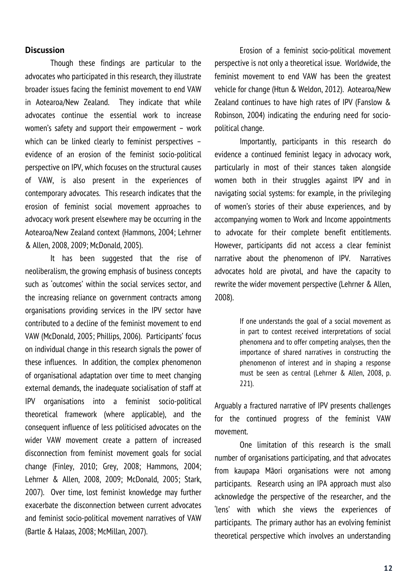#### **Discussion**

Though these findings are particular to the advocates who participated in this research, they illustrate broader issues facing the feminist movement to end VAW in Aotearoa/New Zealand. They indicate that while advocates continue the essential work to increase women's safety and support their empowerment – work which can be linked clearly to feminist perspectives – evidence of an erosion of the feminist socio-political perspective on IPV, which focuses on the structural causes of VAW, is also present in the experiences of contemporary advocates. This research indicates that the erosion of feminist social movement approaches to advocacy work present elsewhere may be occurring in the Aotearoa/New Zealand context (Hammons, 2004; Lehrner & Allen, 2008, 2009; McDonald, 2005).

It has been suggested that the rise of neoliberalism, the growing emphasis of business concepts such as 'outcomes' within the social services sector, and the increasing reliance on government contracts among organisations providing services in the IPV sector have contributed to a decline of the feminist movement to end VAW (McDonald, 2005; Phillips, 2006). Participants' focus on individual change in this research signals the power of these influences. In addition, the complex phenomenon of organisational adaptation over time to meet changing external demands, the inadequate socialisation of staff at IPV organisations into a feminist socio-political theoretical framework (where applicable), and the consequent influence of less politicised advocates on the wider VAW movement create a pattern of increased disconnection from feminist movement goals for social change (Finley, 2010; Grey, 2008; Hammons, 2004; Lehrner & Allen, 2008, 2009; McDonald, 2005; Stark, 2007). Over time, lost feminist knowledge may further exacerbate the disconnection between current advocates and feminist socio-political movement narratives of VAW (Bartle & Halaas, 2008; McMillan, 2007).

Erosion of a feminist socio-political movement perspective is not only a theoretical issue. Worldwide, the feminist movement to end VAW has been the greatest vehicle for change (Htun & Weldon, 2012). Aotearoa/New Zealand continues to have high rates of IPV (Fanslow & Robinson, 2004) indicating the enduring need for sociopolitical change.

Importantly, participants in this research do evidence a continued feminist legacy in advocacy work, particularly in most of their stances taken alongside women both in their struggles against IPV and in navigating social systems: for example, in the privileging of women's stories of their abuse experiences, and by accompanying women to Work and Income appointments to advocate for their complete benefit entitlements. However, participants did not access a clear feminist narrative about the phenomenon of IPV. Narratives advocates hold are pivotal, and have the capacity to rewrite the wider movement perspective (Lehrner & Allen, 2008).

> If one understands the goal of a social movement as in part to contest received interpretations of social phenomena and to offer competing analyses, then the importance of shared narratives in constructing the phenomenon of interest and in shaping a response must be seen as central (Lehrner & Allen, 2008, p. 221).

Arguably a fractured narrative of IPV presents challenges for the continued progress of the feminist VAW movement.

One limitation of this research is the small number of organisations participating, and that advocates from kaupapa Māori organisations were not among participants. Research using an IPA approach must also acknowledge the perspective of the researcher, and the 'lens' with which she views the experiences of participants. The primary author has an evolving feminist theoretical perspective which involves an understanding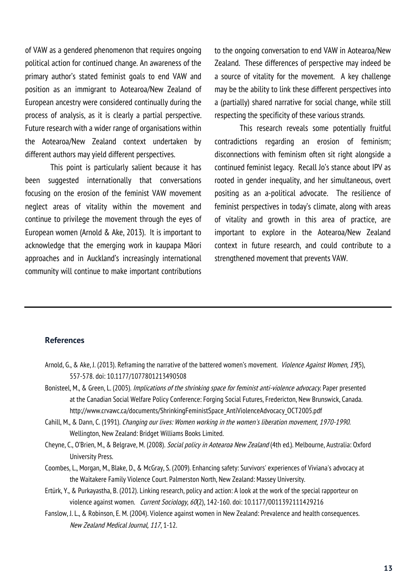of VAW as a gendered phenomenon that requires ongoing political action for continued change. An awareness of the primary author's stated feminist goals to end VAW and position as an immigrant to Aotearoa/New Zealand of European ancestry were considered continually during the process of analysis, as it is clearly a partial perspective. Future research with a wider range of organisations within the Aotearoa/New Zealand context undertaken by different authors may yield different perspectives.

This point is particularly salient because it has been suggested internationally that conversations focusing on the erosion of the feminist VAW movement neglect areas of vitality within the movement and continue to privilege the movement through the eyes of European women (Arnold & Ake, 2013). It is important to acknowledge that the emerging work in kaupapa Māori approaches and in Auckland's increasingly international community will continue to make important contributions

to the ongoing conversation to end VAW in Aotearoa/New Zealand. These differences of perspective may indeed be a source of vitality for the movement. A key challenge may be the ability to link these different perspectives into a (partially) shared narrative for social change, while still respecting the specificity of these various strands.

This research reveals some potentially fruitful contradictions regarding an erosion of feminism; disconnections with feminism often sit right alongside a continued feminist legacy. Recall Jo's stance about IPV as rooted in gender inequality, and her simultaneous, overt positing as an a-political advocate. The resilience of feminist perspectives in today's climate, along with areas of vitality and growth in this area of practice, are important to explore in the Aotearoa/New Zealand context in future research, and could contribute to a strengthened movement that prevents VAW.

#### **References**

- Arnold, G., & Ake, J. (2013). Reframing the narrative of the battered women's movement. *Violence Against Women, 19*(5), 557-578. doi: 10.1177/1077801213490508
- Bonisteel, M., & Green, L. (2005). Implications of the shrinking space for feminist anti-violence advocacy. Paper presented at the Canadian Social Welfare Policy Conference: Forging Social Futures, Fredericton, New Brunswick, Canada. http://www.crvawc.ca/documents/ShrinkingFeministSpace\_AntiViolenceAdvocacy\_OCT2005.pdf
- Cahill, M., & Dann, C. (1991). Changing our lives: Women working in the women's liberation movement, 1970-1990. Wellington, New Zealand: Bridget Williams Books Limited.
- Cheyne, C., O'Brien, M., & Belgrave, M. (2008). Social policy in Aotearoa New Zealand (4th ed.). Melbourne, Australia: Oxford University Press.
- Coombes, L., Morgan, M., Blake, D., & McGray, S. (2009). Enhancing safety: Survivors' experiences of Viviana's advocacy at the Waitakere Family Violence Court. Palmerston North, New Zealand: Massey University.
- Ertürk, Y., & Purkayastha, B. (2012). Linking research, policy and action: A look at the work of the special rapporteur on violence against women. Current Sociology, 60(2), 142-160. doi: 10.1177/0011392111429216
- Fanslow, J. L., & Robinson, E. M. (2004). Violence against women in New Zealand: Prevalence and health consequences. New Zealand Medical Journal, 117, 1-12.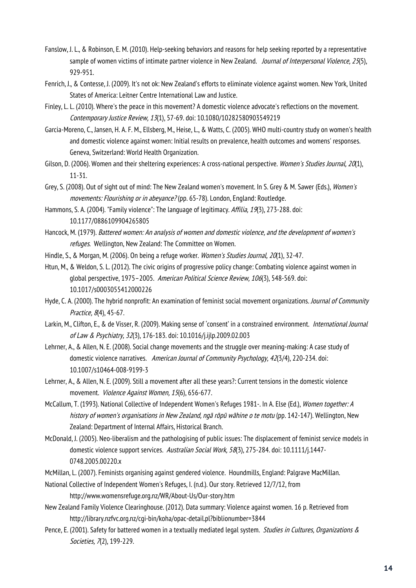- Fanslow, J. L., & Robinson, E. M. (2010). Help-seeking behaviors and reasons for help seeking reported by a representative sample of women victims of intimate partner violence in New Zealand. Journal of Interpersonal Violence, 25(5), 929-951.
- Fenrich, J., & Contesse, J. (2009). It's not ok: New Zealand's efforts to eliminate violence against women. New York, United States of America: Leitner Centre International Law and Justice.
- Finley, L. L. (2010). Where's the peace in this movement? A domestic violence advocate's reflections on the movement. Contemporary Justice Review, 13(1), 57-69. doi: 10.1080/10282580903549219
- Garcia-Moreno, C., Jansen, H. A. F. M., Ellsberg, M., Heise, L., & Watts, C. (2005). WHO multi-country study on women's health and domestic violence against women: Initial results on prevalence, health outcomes and womens' responses. Geneva, Switzerland: World Health Organization.
- Gilson, D. (2006). Women and their sheltering experiences: A cross-national perspective. Women's Studies Journal, 20(1), 11-31.
- Grey, S. (2008). Out of sight out of mind: The New Zealand women's movement. In S. Grey & M. Sawer (Eds.), Women's movements: Flourishing or in abevance? (pp. 65-78). London, England: Routledge.
- Hammons, S. A. (2004). "Family violence": The language of legitimacy. Affilia, 19(3), 273-288. doi: 10.1177/0886109904265805
- Hancock, M. (1979). Battered women: An analysis of women and domestic violence, and the development of women's refuges. Wellington, New Zealand: The Committee on Women.
- Hindle, S., & Morgan, M. (2006). On being a refuge worker. Women's Studies Journal, 20(1), 32-47.
- Htun, M., & Weldon, S. L. (2012). The civic origins of progressive policy change: Combating violence against women in global perspective, 1975–2005. American Political Science Review, 106(3), 548-569. doi: 10.1017/s0003055412000226
- Hyde, C. A. (2000). The hybrid nonprofit: An examination of feminist social movement organizations. Journal of Community Practice, 8(4), 45-67.
- Larkin, M., Clifton, E., & de Visser, R. (2009). Making sense of 'consent' in a constrained environment. International Journal of Law & Psychiatry, 32(3), 176-183. doi: 10.1016/j.ijlp.2009.02.003
- Lehrner, A., & Allen, N. E. (2008). Social change movements and the struggle over meaning-making: A case study of domestic violence narratives. American Journal of Community Psychology, 42(3/4), 220-234. doi: 10.1007/s10464-008-9199-3
- Lehrner, A., & Allen, N. E. (2009). Still a movement after all these years?: Current tensions in the domestic violence movement. Violence Against Women, 15(6), 656-677.
- McCallum, T. (1993). National Collective of Independent Women's Refuges 1981-. In A. Else (Ed.), Women together: A history of women's organisations in New Zealand, ngā rōpū wāhine o te motu (pp. 142-147). Wellington, New Zealand: Department of Internal Affairs, Historical Branch.
- McDonald, J. (2005). Neo-liberalism and the pathologising of public issues: The displacement of feminist service models in domestic violence support services. Australian Social Work, 58(3), 275-284. doi: 10.1111/j.1447- 0748.2005.00220.x
- McMillan, L. (2007). Feminists organising against gendered violence. Houndmills, England: Palgrave MacMillan.
- National Collective of Independent Women's Refuges, I. (n.d.). Our story. Retrieved 12/7/12, from http://www.womensrefuge.org.nz/WR/About-Us/Our-story.htm
- New Zealand Family Violence Clearinghouse. (2012). Data summary: Violence against women. 16 p. Retrieved from http://library.nzfvc.org.nz/cgi-bin/koha/opac-detail.pl?biblionumber=3844
- Pence, E. (2001). Safety for battered women in a textually mediated legal system. Studies in Cultures, Organizations & Societies, 7(2), 199-229.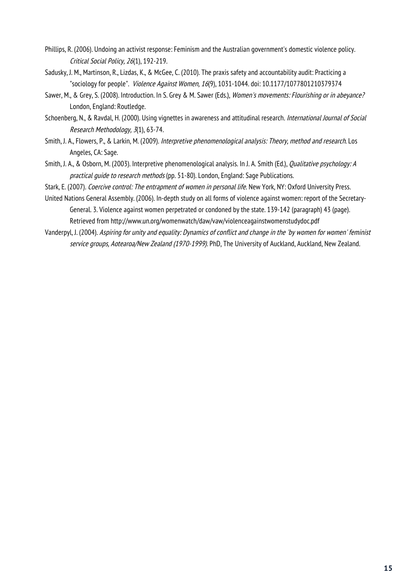- Phillips, R. (2006). Undoing an activist response: Feminism and the Australian government's domestic violence policy. Critical Social Policy, 26(1), 192-219.
- Sadusky, J. M., Martinson, R., Lizdas, K., & McGee, C. (2010). The praxis safety and accountability audit: Practicing a "sociology for people". Violence Against Women, 16(9), 1031-1044. doi: 10.1177/1077801210379374
- Sawer, M., & Grey, S. (2008). Introduction. In S. Grey & M. Sawer (Eds.), Women's movements: Flourishing or in abeyance? London, England: Routledge.
- Schoenberg, N., & Ravdal, H. (2000). Using vignettes in awareness and attitudinal research. International Journal of Social Research Methodology, 3(1), 63-74.
- Smith, J. A., Flowers, P., & Larkin, M. (2009). Interpretive phenomenological analysis: Theory, method and research. Los Angeles, CA: Sage.
- Smith, J. A., & Osborn, M. (2003). Interpretive phenomenological analysis. In J. A. Smith (Ed.), *Qualitative psychology: A* practical guide to research methods (pp. 51-80). London, England: Sage Publications.

Stark, E. (2007). Coercive control: The entrapment of women in personal life. New York, NY: Oxford University Press.

- United Nations General Assembly. (2006). In-depth study on all forms of violence against women: report of the Secretary-General. 3. Violence against women perpetrated or condoned by the state. 139-142 (paragraph) 43 (page). Retrieved from http://www.un.org/womenwatch/daw/vaw/violenceagainstwomenstudydoc.pdf
- Vanderpyl, J. (2004). Aspiring for unity and equality: Dynamics of conflict and change in the 'by women for women' feminist service groups, Aotearoa/New Zealand (1970-1999). PhD, The University of Auckland, Auckland, New Zealand.